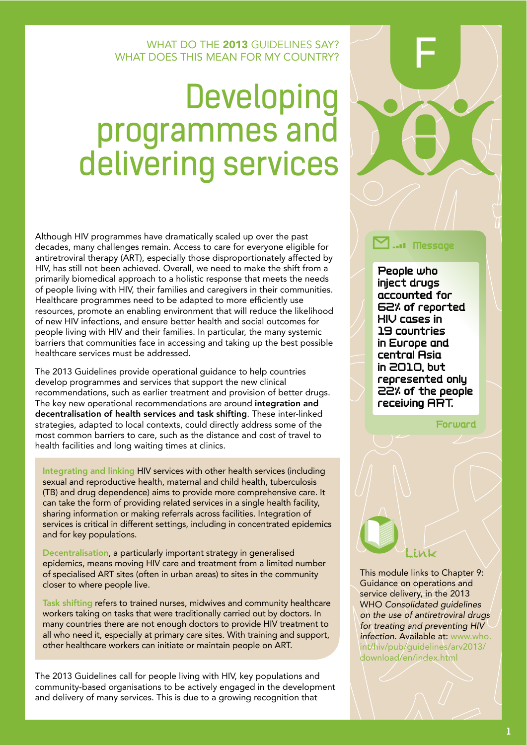#### WHAT DO THE 2013 GUIDELINES SAY? WHAT DOES THIS MEAN FOR MY COUNTRY?

# **Developing** programmes and<br>delivering services

Although HIV programmes have dramatically scaled up over the past decades, many challenges remain. Access to care for everyone eligible for antiretroviral therapy (ART), especially those disproportionately affected by HIV, has still not been achieved. Overall, we need to make the shift from a primarily biomedical approach to a holistic response that meets the needs of people living with HIV, their families and caregivers in their communities. Healthcare programmes need to be adapted to more efficiently use resources, promote an enabling environment that will reduce the likelihood of new HIV infections, and ensure better health and social outcomes for people living with HIV and their families. In particular, the many systemic barriers that communities face in accessing and taking up the best possible healthcare services must be addressed.

The 2013 Guidelines provide operational guidance to help countries develop programmes and services that support the new clinical recommendations, such as earlier treatment and provision of better drugs. The key new operational recommendations are around integration and decentralisation of health services and task shifting. These inter-linked strategies, adapted to local contexts, could directly address some of the most common barriers to care, such as the distance and cost of travel to health facilities and long waiting times at clinics.

Integrating and linking HIV services with other health services (including sexual and reproductive health, maternal and child health, tuberculosis (TB) and drug dependence) aims to provide more comprehensive care. It can take the form of providing related services in a single health facility, sharing information or making referrals across facilities. Integration of services is critical in different settings, including in concentrated epidemics and for key populations.

Decentralisation, a particularly important strategy in generalised epidemics, means moving HIV care and treatment from a limited number of specialised ART sites (often in urban areas) to sites in the community closer to where people live.

Task shifting refers to trained nurses, midwives and community healthcare workers taking on tasks that were traditionally carried out by doctors. In many countries there are not enough doctors to provide HIV treatment to all who need it, especially at primary care sites. With training and support, other healthcare workers can initiate or maintain people on ART.

The 2013 Guidelines call for people living with HIV, key populations and community-based organisations to be actively engaged in the development and delivery of many services. This is due to a growing recognition that



#### ... Message

People who inject drugs accounted for 62% of reported **HIV** cases in 19 countries in Europe and central Asia  $in$  2010, but represented only 22% of the people receiving ART.

Forward

This module links to Chapter 9: Guidance on operations and service delivery, in the 2013 WHO Consolidated guidelines on the use of antiretroviral drugs for treating and preventing HIV infection. Available at: www.who. int/hiv/pub/quidelines/arv2013/ download/en/index.html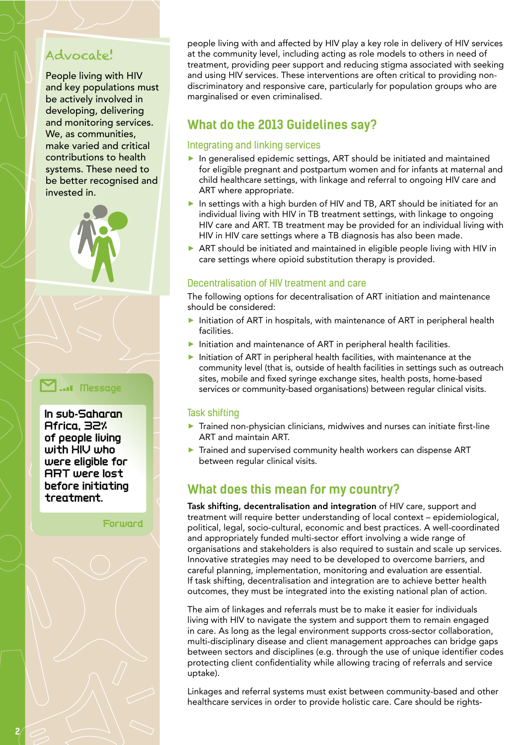# Advocate!

People living with HIV and key populations must be actively involved in developing, delivering and monitoring services. We, as communities, make varied and critical contributions to health systems. These need to be better recognised and invested in.



### ...I Message

In sub-Saharan Africa, 32% of people living with HIV who were eligible for **ART** were lost before initiating treatment.

Forward

people living with and affected by HIV play a key role in delivery of HIV services at the community level, including acting as role models to others in need of treatment, providing peer support and reducing stigma associated with seeking and using HIV services. These interventions are often critical to providing nondiscriminatory and responsive care, particularly for population groups who are marginalised or even criminalised.

# What do the 2013 Guidelines say?

#### Integrating and linking services

- In generalised epidemic settings, ART should be initiated and maintained for eligible pregnant and postpartum women and for infants at maternal and child healthcare settings, with linkage and referral to ongoing HIV care and ART where appropriate.
- In settings with a high burden of HIV and TB, ART should be initiated for an individual living with HIV in TB treatment settings, with linkage to ongoing HIV care and ART. TB treatment may be provided for an individual living with HIV in HIV care settings where a TB diagnosis has also been made.
- ART should be initiated and maintained in eligible people living with HIV in care settings where opioid substitution therapy is provided.

#### Decentralisation of HIV treatment and care

The following options for decentralisation of ART initiation and maintenance should be considered:

- Initiation of ART in hospitals, with maintenance of ART in peripheral health facilities.
- Initiation and maintenance of ART in peripheral health facilities.
- Initiation of ART in peripheral health facilities, with maintenance at the community level (that is, outside of health facilities in settings such as outreach sites, mobile and fixed syringe exchange sites, health posts, home-based services or community-based organisations) between regular clinical visits.

#### **Task shifting**

- Trained non-physician clinicians, midwives and nurses can initiate first-line ART and maintain ART.
- Trained and supervised community health workers can dispense ART between regular clinical visits.

# What does this mean for my country?

Task shifting, decentralisation and integration of HIV care, support and treatment will require better understanding of local context - epidemiological, political, legal, socio-cultural, economic and best practices. A well-coordinated and appropriately funded multi-sector effort involving a wide range of organisations and stakeholders is also required to sustain and scale up services. Innovative strategies may need to be developed to overcome barriers, and careful planning, implementation, monitoring and evaluation are essential. If task shifting, decentralisation and integration are to achieve better health outcomes, they must be integrated into the existing national plan of action.

The aim of linkages and referrals must be to make it easier for individuals living with HIV to navigate the system and support them to remain engaged in care. As long as the legal environment supports cross-sector collaboration, multi-disciplinary disease and client management approaches can bridge gaps between sectors and disciplines (e.g. through the use of unique identifier codes protecting client confidentiality while allowing tracing of referrals and service uptake).

Linkages and referral systems must exist between community-based and other healthcare services in order to provide holistic care. Care should be rights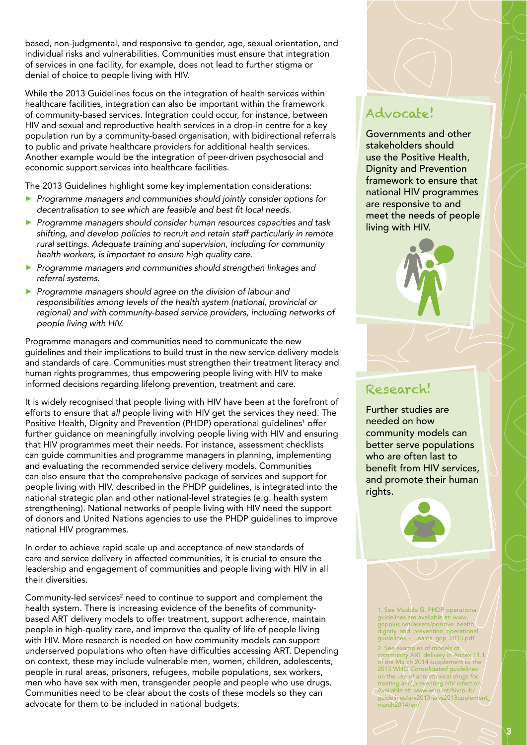based, non-judgmental, and responsive to gender, age, sexual orientation, and individual risks and vulnerabilities. communities must ensure that integration of services in one facility, for example, does not lead to further stigma or denial of choice to people living with HIV.

While the 2013 Guidelines focus on the integration of health services within healthcare facilities, integration can also be important within the framework of community-based services. Integration could occur, for instance, between HIV and sexual and reproductive health services in a drop-in centre for a key population run by a community-based organisation, with bidirectional referrals to public and private healthcare providers for additional health services. Another example would be the integration of peer-driven psychosocial and economic support services into healthcare facilities.

The 2013 Guidelines highlight some key implementation considerations:

- ▶ Programme managers and communities should jointly consider options for  $\alpha$  decentralisation to see which are feasible and best fit local needs.
- **Programme managers should consider human resources capacities and task** shifting, and develop policies to recruit and retain staff particularly in remote rural settings. Adequate training and supervision, including for community *health workers, is important to ensure high quality care.*
- **Programme managers and communities should strengthen linkages and** *referral systems.*
- **Programme managers should agree on the division of labour and** responsibilities among levels of the health system (national, provincial or regional) and with community-based service providers, including networks of *RGQRNG-NKXKPI-YKVJ-\*+8*

Programme managers and communities need to communicate the new guidelines and their implications to build trust in the new service delivery models and standards of care. Communities must strengthen their treatment literacy and human rights programmes, thus empowering people living with HIV to make informed decisions regarding lifelong prevention, treatment and care.

It is widely recognised that people living with HIV have been at the forefront of efforts to ensure that all people living with HIV get the services they need. The Positive Health, Dignity and Prevention (PHDP) operational guidelines<sup>1</sup> offer further guidance on meaningfully involving people living with HIV and ensuring that HIV programmes meet their needs. for instance, assessment checklists can guide communities and programme managers in planning, implementing and evaluating the recommended service delivery models. communities can also ensure that the comprehensive package of services and support for people living with HIV, described in the PHDP guidelines, is integrated into the national strategic plan and other national-level strategies (e.g. health system strengthening). National networks of people living with HIV need the support of donors and United Nations agencies to use the PHDP guidelines to improve national HIV programmes.

In order to achieve rapid scale up and acceptance of new standards of care and service delivery in affected communities, it is crucial to ensure the leadership and engagement of communities and people living with HIV in all their diversities.

Community-led services<sup>2</sup> need to continue to support and complement the health system. There is increasing evidence of the benefits of communitybased ART delivery models to offer treatment, support adherence, maintain people in high-quality care, and improve the quality of life of people living with HIV. More research is needed on how community models can support underserved populations who often have difficulties accessing ART. Depending on context, these may include vulnerable men, women, children, adolescents, people in rural areas, prisoners, refugees, mobile populations, sex workers, men who have sex with men, transgender people and people who use drugs. communities need to be clear about the costs of these models so they can advocate for them to be included in national budgets.

# Advocate!

Governments and other stakeholders should use the Positive Health, Dignity and Prevention framework to ensure that national HIV programmes are responsive to and meet the needs of people living with HIV.



# Research!

Further studies are needed on how community models can better serve populations who are often last to benefit from HIV services, and promote their human rights.



1. See Module G. PHDP operational guidelines are available at: [www.](http://www.gnpplus.net/assets/positive_health_dignity_and_prevention_operational_guidelines_-_unaids_gnp_2013.pdf) [gnpplus.net/assets/positive\\_health\\_](http://www.gnpplus.net/assets/positive_health_dignity_and_prevention_operational_guidelines_-_unaids_gnp_2013.pdf) [dignity\\_and\\_prevention\\_operational\\_](http://www.gnpplus.net/assets/positive_health_dignity_and_prevention_operational_guidelines_-_unaids_gnp_2013.pdf) [guidelines\\_-\\_unaids\\_gnp\\_2013.pdf](http://www.gnpplus.net/assets/positive_health_dignity_and_prevention_operational_guidelines_-_unaids_gnp_2013.pdf) 2. see examples of models of community ART delivery in Annex 11.1. of the march 2014 supplement to the 2013 WHO Consolidated guidelines on the use of antiretroviral drugs for treating and preventing HIV infection. Available at: [www.who.int/hiv/pub/](www.who.int/hiv/pub/guidelines/arv2013/arvs2013upplement_march2014/en/) [guidelines/arv2013/arvs2013upplement\\_](www.who.int/hiv/pub/guidelines/arv2013/arvs2013upplement_march2014/en/) [march2014/en/](www.who.int/hiv/pub/guidelines/arv2013/arvs2013upplement_march2014/en/)